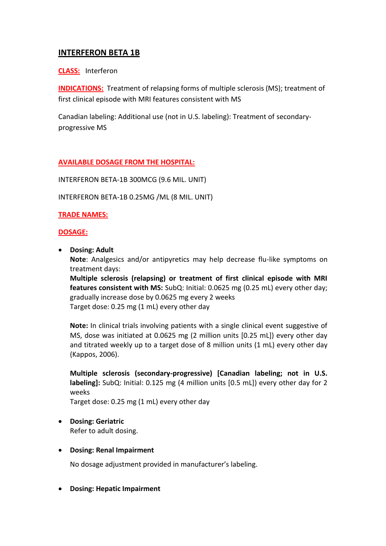# **INTERFERON BETA 1B**

### **CLASS:** Interferon

**INDICATIONS:** Treatment of relapsing forms of multiple sclerosis (MS); treatment of first clinical episode with MRI features consistent with MS

Canadian labeling: Additional use (not in U.S. labeling): Treatment of secondaryprogressive MS

# **AVAILABLE DOSAGE FROM THE HOSPITAL:**

INTERFERON BETA-1B 300MCG (9.6 MIL. UNIT)

INTERFERON BETA-1B 0.25MG /ML (8 MIL. UNIT)

### **TRADE NAMES:**

#### **DOSAGE:**

**Dosing: Adult**

**Note**: Analgesics and/or antipyretics may help decrease flu-like symptoms on treatment days:

**Multiple sclerosis (relapsing) or treatment of first clinical episode with MRI features consistent with MS:** SubQ: Initial: 0.0625 mg (0.25 mL) every other day; gradually increase dose by 0.0625 mg every 2 weeks Target dose: 0.25 mg (1 mL) every other day

**Note:** In clinical trials involving patients with a single clinical event suggestive of MS, dose was initiated at 0.0625 mg (2 million units [0.25 mL]) every other day and titrated weekly up to a target dose of 8 million units (1 mL) every other day (Kappos, 2006).

**Multiple sclerosis (secondary-progressive) [Canadian labeling; not in U.S. labeling]:** SubQ: Initial: 0.125 mg (4 million units [0.5 mL]) every other day for 2 weeks

Target dose: 0.25 mg (1 mL) every other day

 **Dosing: Geriatric** Refer to adult dosing.

#### **Dosing: Renal Impairment**

No dosage adjustment provided in manufacturer's labeling.

**Dosing: Hepatic Impairment**